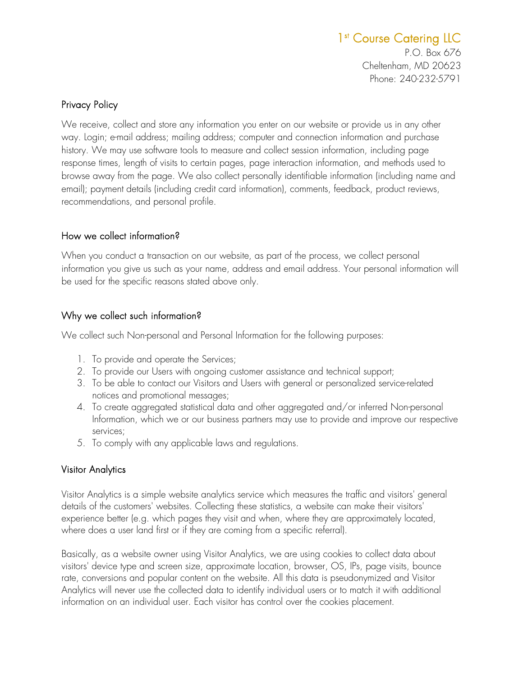# 1<sup>st</sup> Course Catering LLC

P.O. Box 676 Cheltenham, MD 20623 Phone: 240-232-5791

#### Privacy Policy

We receive, collect and store any information you enter on our website or provide us in any other way. Login; e-mail address; mailing address; computer and connection information and purchase history. We may use software tools to measure and collect session information, including page response times, length of visits to certain pages, page interaction information, and methods used to browse away from the page. We also collect personally identifiable information (including name and email); payment details (including credit card information), comments, feedback, product reviews, recommendations, and personal profile.

#### How we collect information?

When you conduct a transaction on our website, as part of the process, we collect personal information you give us such as your name, address and email address. Your personal information will be used for the specific reasons stated above only.

#### Why we collect such information?

We collect such Non-personal and Personal Information for the following purposes:

- 1. To provide and operate the Services;
- 2. To provide our Users with ongoing customer assistance and technical support;
- 3. To be able to contact our Visitors and Users with general or personalized service-related notices and promotional messages;
- 4. To create aggregated statistical data and other aggregated and/or inferred Non-personal Information, which we or our business partners may use to provide and improve our respective services;
- 5. To comply with any applicable laws and regulations.

#### Visitor Analytics

Visitor Analytics is a simple website analytics service which measures the traffic and visitors' general details of the customers' websites. Collecting these statistics, a website can make their visitors' experience better (e.g. which pages they visit and when, where they are approximately located, where does a user land first or if they are coming from a specific referral).

Basically, as a website owner using Visitor Analytics, we are using cookies to collect data about visitors' device type and screen size, approximate location, browser, OS, IPs, page visits, bounce rate, conversions and popular content on the website. All this data is pseudonymized and Visitor Analytics will never use the collected data to identify individual users or to match it with additional information on an individual user. Each visitor has control over the cookies placement.